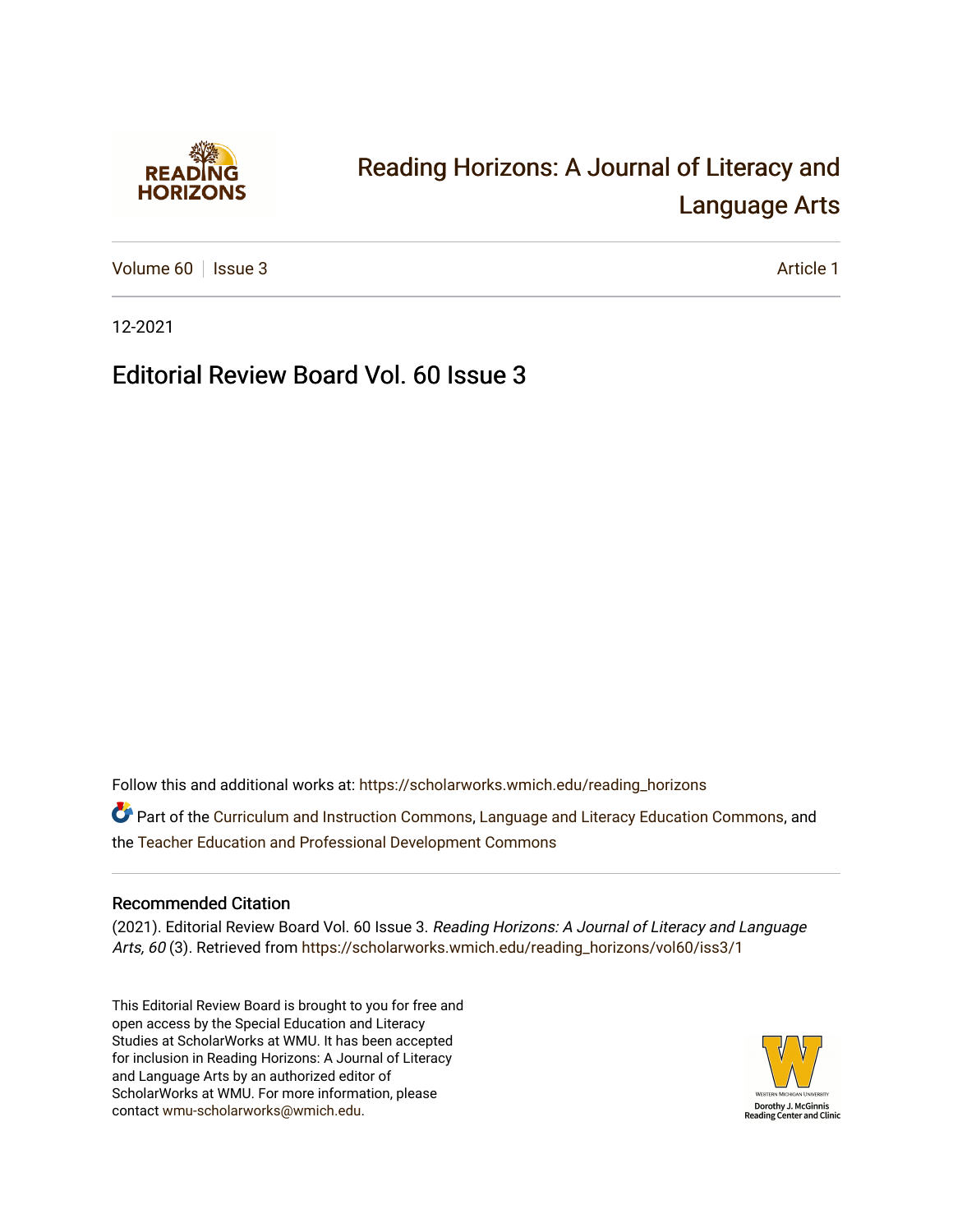

## [Reading Horizons: A Journal of Literacy and](https://scholarworks.wmich.edu/reading_horizons)  [Language Arts](https://scholarworks.wmich.edu/reading_horizons)

[Volume 60](https://scholarworks.wmich.edu/reading_horizons/vol60) | [Issue 3](https://scholarworks.wmich.edu/reading_horizons/vol60/iss3) Article 1

12-2021

Editorial Review Board Vol. 60 Issue 3

Follow this and additional works at: [https://scholarworks.wmich.edu/reading\\_horizons](https://scholarworks.wmich.edu/reading_horizons?utm_source=scholarworks.wmich.edu%2Freading_horizons%2Fvol60%2Fiss3%2F1&utm_medium=PDF&utm_campaign=PDFCoverPages)

Part of the [Curriculum and Instruction Commons,](http://network.bepress.com/hgg/discipline/786?utm_source=scholarworks.wmich.edu%2Freading_horizons%2Fvol60%2Fiss3%2F1&utm_medium=PDF&utm_campaign=PDFCoverPages) [Language and Literacy Education Commons,](http://network.bepress.com/hgg/discipline/1380?utm_source=scholarworks.wmich.edu%2Freading_horizons%2Fvol60%2Fiss3%2F1&utm_medium=PDF&utm_campaign=PDFCoverPages) and the [Teacher Education and Professional Development Commons](http://network.bepress.com/hgg/discipline/803?utm_source=scholarworks.wmich.edu%2Freading_horizons%2Fvol60%2Fiss3%2F1&utm_medium=PDF&utm_campaign=PDFCoverPages) 

## Recommended Citation

(2021). Editorial Review Board Vol. 60 Issue 3. Reading Horizons: A Journal of Literacy and Language Arts, 60 (3). Retrieved from [https://scholarworks.wmich.edu/reading\\_horizons/vol60/iss3/1](https://scholarworks.wmich.edu/reading_horizons/vol60/iss3/1?utm_source=scholarworks.wmich.edu%2Freading_horizons%2Fvol60%2Fiss3%2F1&utm_medium=PDF&utm_campaign=PDFCoverPages) 

This Editorial Review Board is brought to you for free and open access by the Special Education and Literacy Studies at ScholarWorks at WMU. It has been accepted for inclusion in Reading Horizons: A Journal of Literacy and Language Arts by an authorized editor of ScholarWorks at WMU. For more information, please contact [wmu-scholarworks@wmich.edu](mailto:wmu-scholarworks@wmich.edu).

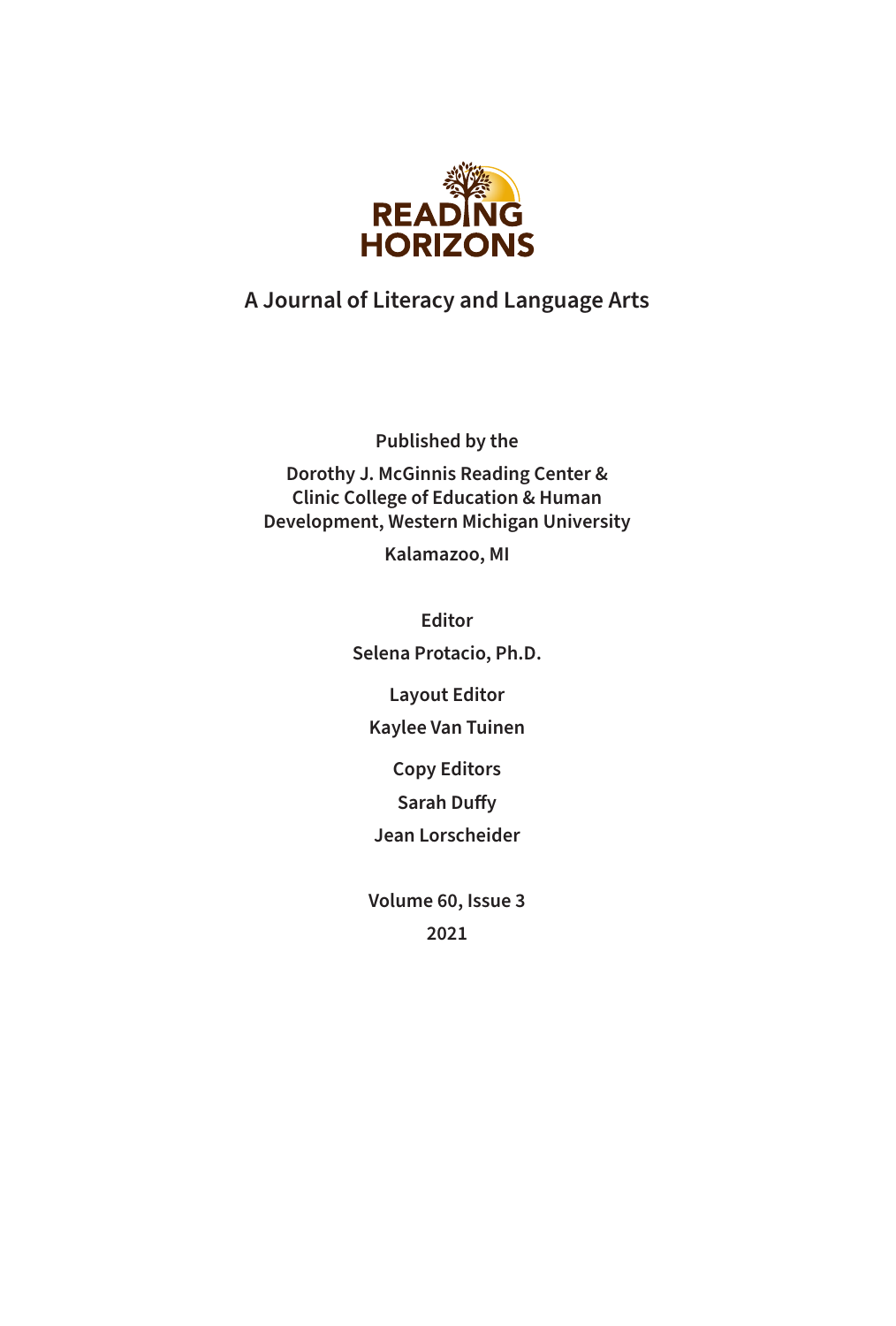

## **A Journal of Literacy and Language Arts**

**Published by the**

**Dorothy J. McGinnis Reading Center & Clinic College of Education & Human Development, Western Michigan University**

**Kalamazoo, MI**

**Editor Selena Protacio, Ph.D.**

**Layout Editor**

**Kaylee Van Tuinen**

**Copy Editors**

**Sarah Duffy**

**Jean Lorscheider**

**Volume 60, Issue 3 2021**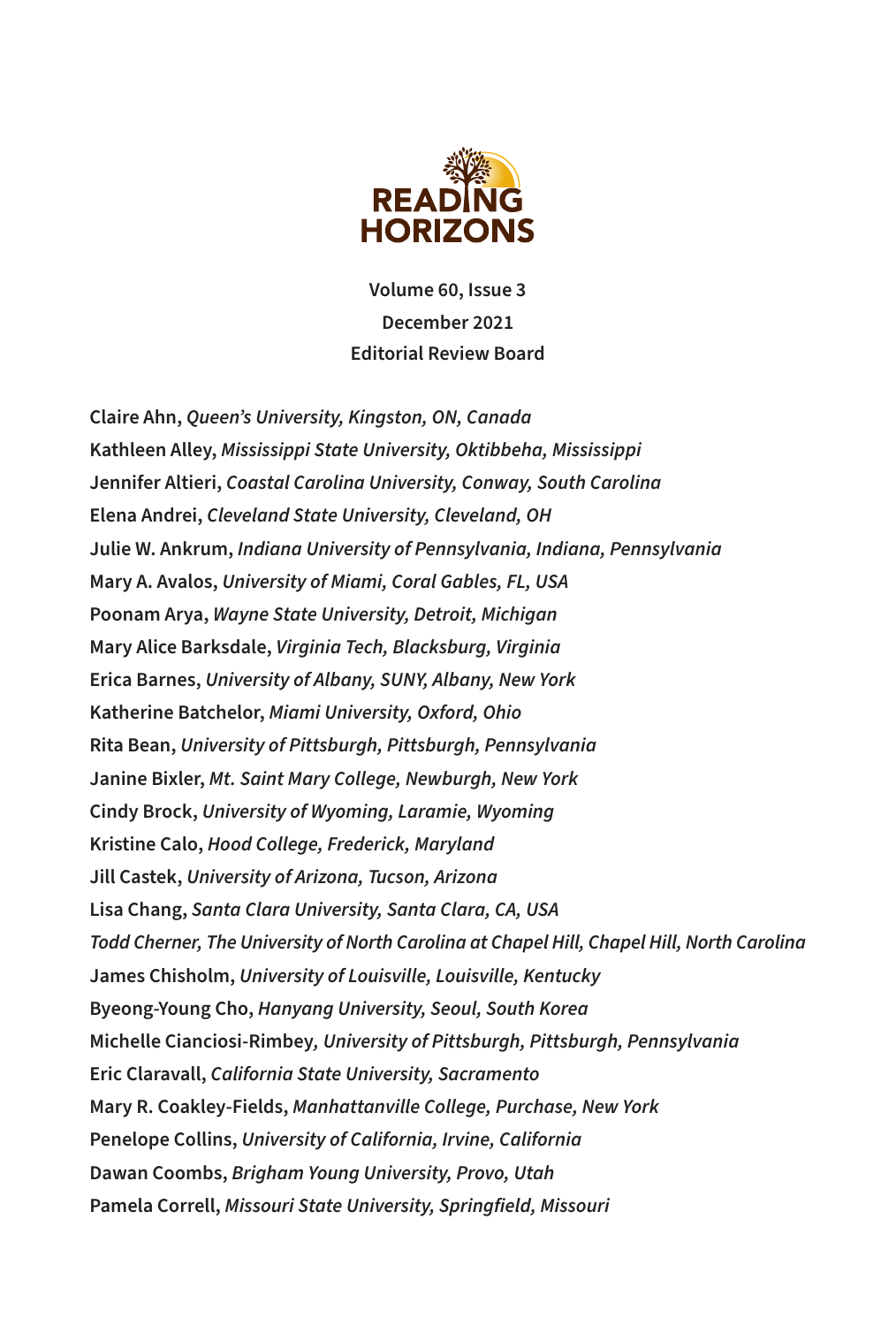

**Volume 60, Issue 3 December 2021 Editorial Review Board**

**Claire Ahn,** *Queen's University, Kingston, ON, Canada*  **Kathleen Alley,** *Mississippi State University, Oktibbeha, Mississippi* **Jennifer Altieri,** *Coastal Carolina University, Conway, South Carolina* **Elena Andrei,** *Cleveland State University, Cleveland, OH* **Julie W. Ankrum,** *Indiana University of Pennsylvania, Indiana, Pennsylvania* **Mary A. Avalos,** *University of Miami, Coral Gables, FL, USA* **Poonam Arya,** *Wayne State University, Detroit, Michigan* **Mary Alice Barksdale,** *Virginia Tech, Blacksburg, Virginia* **Erica Barnes,** *University of Albany, SUNY, Albany, New York* **Katherine Batchelor,** *Miami University, Oxford, Ohio* **Rita Bean,** *University of Pittsburgh, Pittsburgh, Pennsylvania*  **Janine Bixler,** *Mt. Saint Mary College, Newburgh, New York*  **Cindy Brock,** *University of Wyoming, Laramie, Wyoming*  **Kristine Calo,** *Hood College, Frederick, Maryland* **Jill Castek,** *University of Arizona, Tucson, Arizona* **Lisa Chang,** *Santa Clara University, Santa Clara, CA, USA Todd Cherner, The University of North Carolina at Chapel Hill, Chapel Hill, North Carolina* **James Chisholm,** *University of Louisville, Louisville, Kentucky* **Byeong-Young Cho,** *Hanyang University, Seoul, South Korea* **Michelle Cianciosi-Rimbey***, University of Pittsburgh, Pittsburgh, Pennsylvania*  **Eric Claravall,** *California State University, Sacramento* **Mary R. Coakley-Fields,** *Manhattanville College, Purchase, New York* **Penelope Collins,** *University of California, Irvine, California* **Dawan Coombs,** *Brigham Young University, Provo, Utah*  **Pamela Correll,** *Missouri State University, Springfield, Missouri*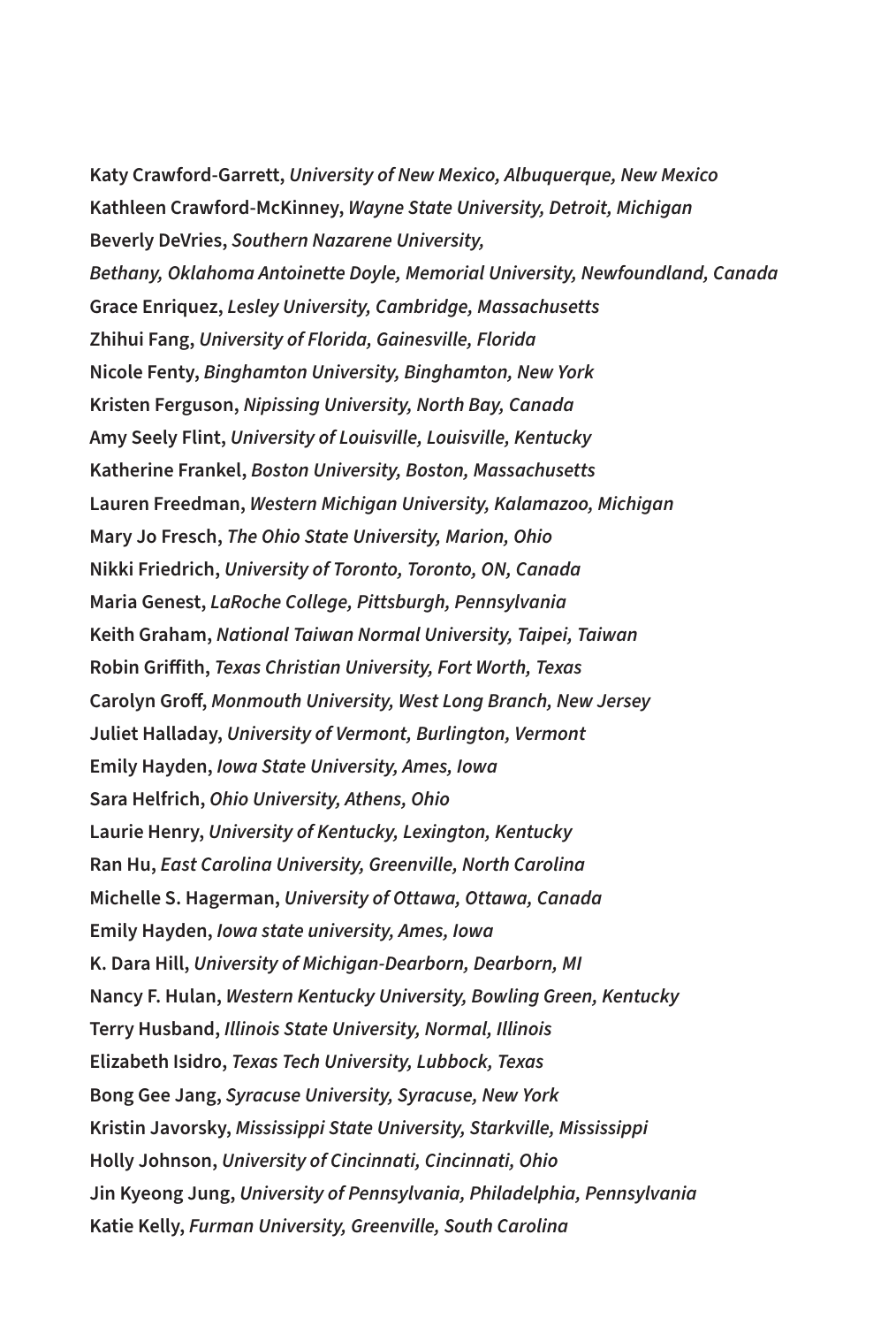**Katy Crawford-Garrett,** *University of New Mexico, Albuquerque, New Mexico*  **Kathleen Crawford-McKinney,** *Wayne State University, Detroit, Michigan*  **Beverly DeVries,** *Southern Nazarene University, Bethany, Oklahoma Antoinette Doyle, Memorial University, Newfoundland, Canada* **Grace Enriquez,** *Lesley University, Cambridge, Massachusetts* **Zhihui Fang,** *University of Florida, Gainesville, Florida* **Nicole Fenty,** *Binghamton University, Binghamton, New York* **Kristen Ferguson,** *Nipissing University, North Bay, Canada*  **Amy Seely Flint,** *University of Louisville, Louisville, Kentucky*  **Katherine Frankel,** *Boston University, Boston, Massachusetts* **Lauren Freedman,** *Western Michigan University, Kalamazoo, Michigan* **Mary Jo Fresch,** *The Ohio State University, Marion, Ohio* **Nikki Friedrich,** *University of Toronto, Toronto, ON, Canada*  **Maria Genest,** *LaRoche College, Pittsburgh, Pennsylvania*  **Keith Graham,** *National Taiwan Normal University, Taipei, Taiwan* **Robin Griffith,** *Texas Christian University, Fort Worth, Texas* **Carolyn Groff,** *Monmouth University, West Long Branch, New Jersey* **Juliet Halladay,** *University of Vermont, Burlington, Vermont* **Emily Hayden,** *Iowa State University, Ames, Iowa* **Sara Helfrich,** *Ohio University, Athens, Ohio* **Laurie Henry,** *University of Kentucky, Lexington, Kentucky*  **Ran Hu,** *East Carolina University, Greenville, North Carolina* **Michelle S. Hagerman,** *University of Ottawa, Ottawa, Canada* **Emily Hayden,** *Iowa state university, Ames, Iowa* **K. Dara Hill,** *University of Michigan-Dearborn, Dearborn, MI* **Nancy F. Hulan,** *Western Kentucky University, Bowling Green, Kentucky* **Terry Husband,** *Illinois State University, Normal, Illinois*  **Elizabeth Isidro,** *Texas Tech University, Lubbock, Texas*  **Bong Gee Jang,** *Syracuse University, Syracuse, New York* **Kristin Javorsky,** *Mississippi State University, Starkville, Mississippi* **Holly Johnson,** *University of Cincinnati, Cincinnati, Ohio* **Jin Kyeong Jung,** *University of Pennsylvania, Philadelphia, Pennsylvania* **Katie Kelly,** *Furman University, Greenville, South Carolina*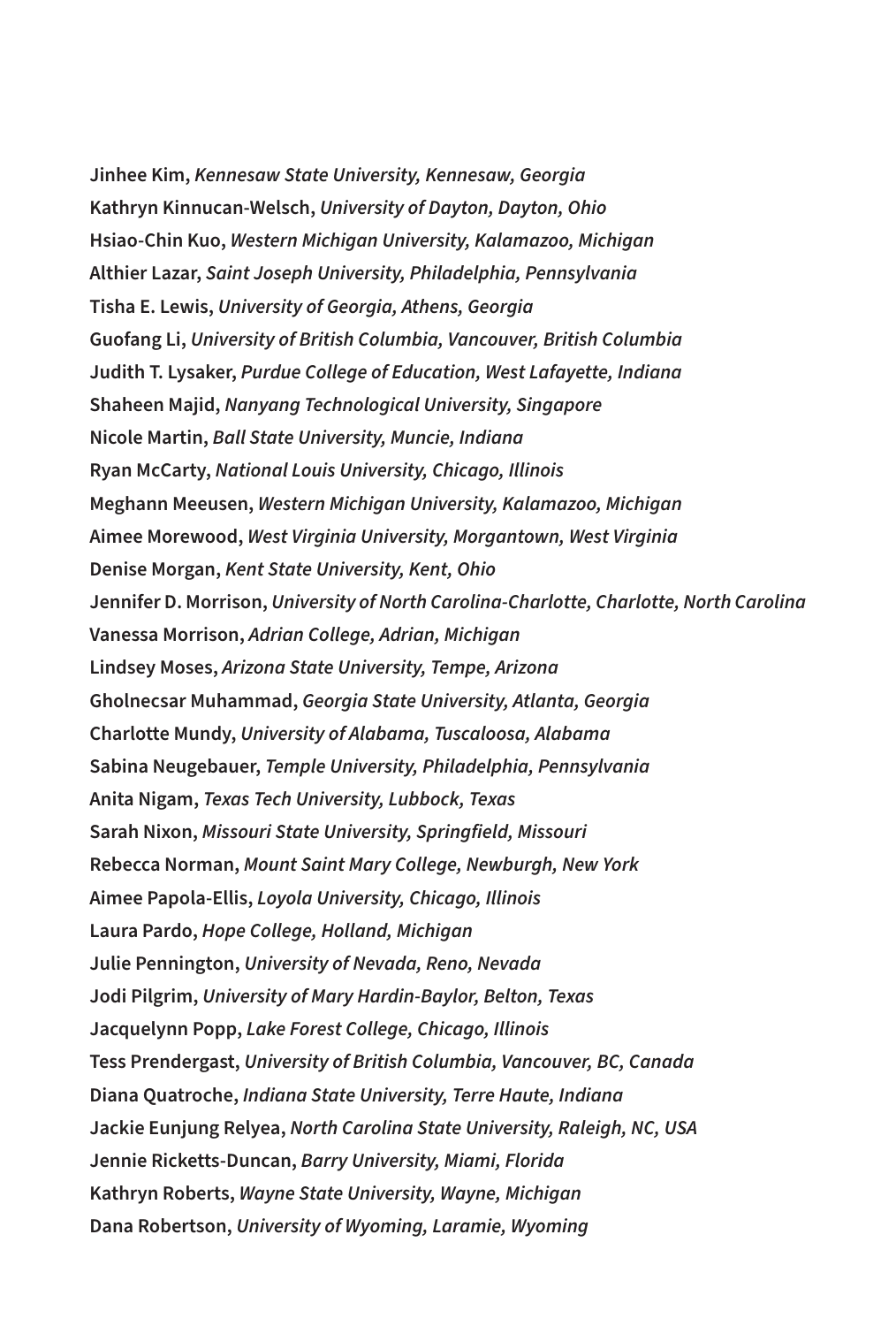**Jinhee Kim,** *Kennesaw State University, Kennesaw, Georgia*  **Kathryn Kinnucan-Welsch,** *University of Dayton, Dayton, Ohio*  **Hsiao-Chin Kuo,** *Western Michigan University, Kalamazoo, Michigan*  **Althier Lazar,** *Saint Joseph University, Philadelphia, Pennsylvania* **Tisha E. Lewis,** *University of Georgia, Athens, Georgia* **Guofang Li,** *University of British Columbia, Vancouver, British Columbia*  **Judith T. Lysaker,** *Purdue College of Education, West Lafayette, Indiana*  **Shaheen Majid,** *Nanyang Technological University, Singapore* **Nicole Martin,** *Ball State University, Muncie, Indiana* **Ryan McCarty,** *National Louis University, Chicago, Illinois* **Meghann Meeusen,** *Western Michigan University, Kalamazoo, Michigan*  **Aimee Morewood,** *West Virginia University, Morgantown, West Virginia*  **Denise Morgan,** *Kent State University, Kent, Ohio* **Jennifer D. Morrison,** *University of North Carolina-Charlotte, Charlotte, North Carolina* **Vanessa Morrison,** *Adrian College, Adrian, Michigan* **Lindsey Moses,** *Arizona State University, Tempe, Arizona*  **Gholnecsar Muhammad,** *Georgia State University, Atlanta, Georgia*  **Charlotte Mundy,** *University of Alabama, Tuscaloosa, Alabama*  **Sabina Neugebauer,** *Temple University, Philadelphia, Pennsylvania* **Anita Nigam,** *Texas Tech University, Lubbock, Texas* **Sarah Nixon,** *Missouri State University, Springfield, Missouri*  **Rebecca Norman,** *Mount Saint Mary College, Newburgh, New York*  **Aimee Papola-Ellis,** *Loyola University, Chicago, Illinois* **Laura Pardo,** *Hope College, Holland, Michigan* **Julie Pennington,** *University of Nevada, Reno, Nevada* **Jodi Pilgrim,** *University of Mary Hardin-Baylor, Belton, Texas* **Jacquelynn Popp,** *Lake Forest College, Chicago, Illinois* **Tess Prendergast,** *University of British Columbia, Vancouver, BC, Canada* **Diana Quatroche,** *Indiana State University, Terre Haute, Indiana*  **Jackie Eunjung Relyea,** *North Carolina State University, Raleigh, NC, USA* **Jennie Ricketts-Duncan,** *Barry University, Miami, Florida*  **Kathryn Roberts,** *Wayne State University, Wayne, Michigan*  **Dana Robertson,** *University of Wyoming, Laramie, Wyoming*